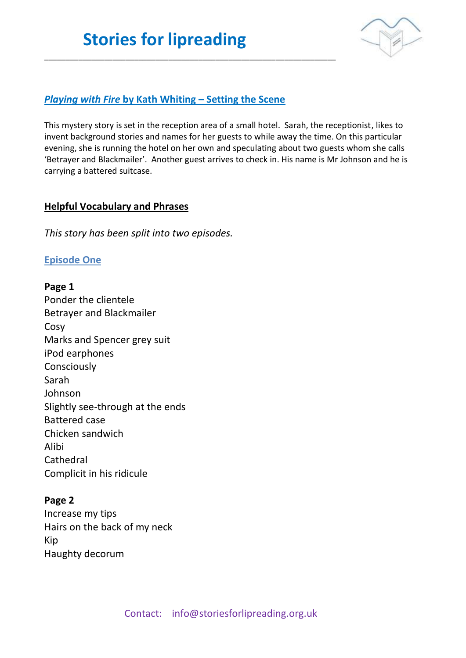\_\_\_\_\_\_\_\_\_\_\_\_\_\_\_\_\_\_\_\_\_\_\_\_\_\_\_\_\_\_\_\_\_\_\_\_\_\_\_\_\_\_\_\_\_\_\_\_\_\_\_\_\_\_\_\_\_\_\_\_\_\_\_\_\_\_\_\_



### *Playing with Fire* **by Kath Whiting – Setting the Scene**

This mystery story is set in the reception area of a small hotel. Sarah, the receptionist, likes to invent background stories and names for her guests to while away the time. On this particular evening, she is running the hotel on her own and speculating about two guests whom she calls 'Betrayer and Blackmailer'. Another guest arrives to check in. His name is Mr Johnson and he is carrying a battered suitcase.

#### **Helpful Vocabulary and Phrases**

*This story has been split into two episodes.* 

### **Episode One**

**Page 1** Ponder the clientele Betrayer and Blackmailer Cosy Marks and Spencer grey suit iPod earphones Consciously Sarah Johnson Slightly see-through at the ends Battered case Chicken sandwich Alibi **Cathedral** Complicit in his ridicule

### **Page 2**

Increase my tips Hairs on the back of my neck Kip Haughty decorum